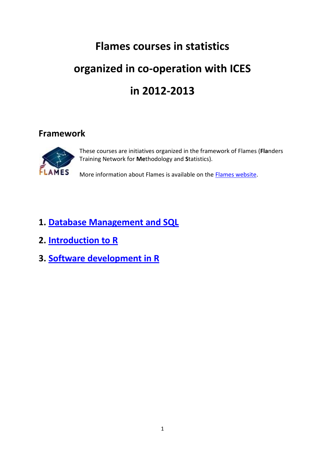### **Flames courses in statistics**

# **organized in co-operation with ICES**

### **in 2012-2013**

### **Framework**



These courses are initiatives organized in the framework of Flames (**Fla**nders Training Network for **Me**thodology and **S**tatistics).

More information about Flames is available on the [Flames website.](http://www.flames-statistics.eu/)

### **1. [Database Management and SQL](#page-1-0)**

- **2. [Introduction to R](#page-3-0)**
- **3. [Software development in R](#page-5-0)**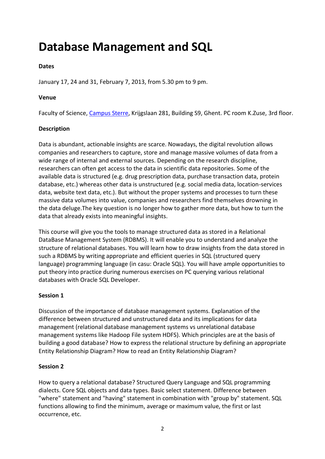## <span id="page-1-0"></span>**Database Management and SQL**

#### **Dates**

January 17, 24 and 31, February 7, 2013, from 5.30 pm to 9 pm.

#### **Venue**

Faculty of Science, [Campus Sterre,](https://edit.ugent.be/we/nl/diensten/ipvw-ices/contact/locaties/sterre) Krijgslaan 281, Building S9, Ghent. PC room K.Zuse, 3rd floor.

#### **Description**

Data is abundant, actionable insights are scarce. Nowadays, the digital revolution allows companies and researchers to capture, store and manage massive volumes of data from a wide range of internal and external sources. Depending on the research discipline, researchers can often get access to the data in scientific data repositories. Some of the available data is structured (e.g. drug prescription data, purchase transaction data, protein database, etc.) whereas other data is unstructured (e.g. social media data, location-services data, website text data, etc.). But without the proper systems and processes to turn these massive data volumes into value, companies and researchers find themselves drowning in the data deluge.The key question is no longer how to gather more data, but how to turn the data that already exists into meaningful insights.

This course will give you the tools to manage structured data as stored in a Relational DataBase Management System (RDBMS). It will enable you to understand and analyze the structure of relational databases. You will learn how to draw insights from the data stored in such a RDBMS by writing appropriate and efficient queries in SQL (structured query language) programming language (in casu: Oracle SQL). You will have ample opportunities to put theory into practice during numerous exercises on PC querying various relational databases with Oracle SQL Developer.

#### **Session 1**

Discussion of the importance of database management systems. Explanation of the difference between structured and unstructured data and its implications for data management (relational database management systems vs unrelational database management systems like Hadoop File system HDFS). Which principles are at the basis of building a good database? How to express the relational structure by defining an appropriate Entity Relationship Diagram? How to read an Entity Relationship Diagram?

#### **Session 2**

How to query a relational database? Structured Query Language and SQL programming dialects. Core SQL objects and data types. Basic select statement. Difference between "where" statement and "having" statement in combination with "group by" statement. SQL functions allowing to find the minimum, average or maximum value, the first or last occurrence, etc.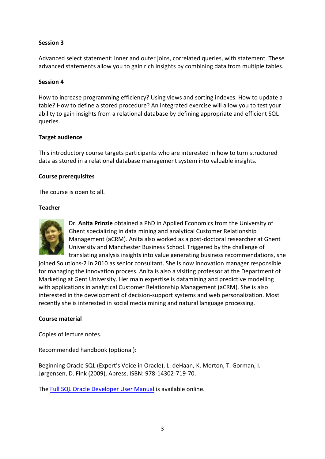#### **Session 3**

Advanced select statement: inner and outer joins, correlated queries, with statement. These advanced statements allow you to gain rich insights by combining data from multiple tables.

#### **Session 4**

How to increase programming efficiency? Using views and sorting indexes. How to update a table? How to define a stored procedure? An integrated exercise will allow you to test your ability to gain insights from a relational database by defining appropriate and efficient SQL queries.

#### **Target audience**

This introductory course targets participants who are interested in how to turn structured data as stored in a relational database management system into valuable insights.

#### **Course prerequisites**

The course is open to all.

#### **Teacher**



Dr. **Anita Prinzie** obtained a PhD in Applied Economics from the University of Ghent specializing in data mining and analytical Customer Relationship Management (aCRM). Anita also worked as a post-doctoral researcher at Ghent University and Manchester Business School. Triggered by the challenge of translating analysis insights into value generating business recommendations, she

joined Solutions-2 in 2010 as senior consultant. She is now innovation manager responsible for managing the innovation process. Anita is also a visiting professor at the Department of Marketing at Gent University. Her main expertise is datamining and predictive modelling with applications in analytical Customer Relationship Management (aCRM). She is also interested in the development of decision-support systems and web personalization. Most recently she is interested in social media mining and natural language processing.

#### **Course material**

Copies of lecture notes.

Recommended handbook (optional):

Beginning Oracle SQL (Expert's Voice in Oracle), L. deHaan, K. Morton, T. Gorman, I. Jørgensen, D. Fink (2009), Apress, ISBN: 978-14302-719-70.

Th[e Full SQL Oracle Developer User Manual](http://docs.oracle.com/cd/E35137_01/appdev.32/e35117.pdf) is available online.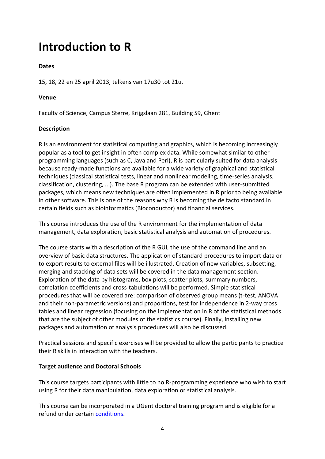### <span id="page-3-0"></span>**Introduction to R**

#### **Dates**

15, 18, 22 en 25 april 2013, telkens van 17u30 tot 21u.

#### **Venue**

Faculty of Science, Campus Sterre, Krijgslaan 281, Building S9, Ghent

#### **Description**

R is an environment for statistical computing and graphics, which is becoming increasingly popular as a tool to get insight in often complex data. While somewhat similar to other programming languages (such as C, Java and Perl), R is particularly suited for data analysis because ready-made functions are available for a wide variety of graphical and statistical techniques (classical statistical tests, linear and nonlinear modeling, time-series analysis, classification, clustering, ...). The base R program can be extended with user-submitted packages, which means new techniques are often implemented in R prior to being available in other software. This is one of the reasons why R is becoming the de facto standard in certain fields such as bioinformatics (Bioconductor) and financial services.

This course introduces the use of the R environment for the implementation of data management, data exploration, basic statistical analysis and automation of procedures.

The course starts with a description of the R GUI, the use of the command line and an overview of basic data structures. The application of standard procedures to import data or to export results to external files will be illustrated. Creation of new variables, subsetting, merging and stacking of data sets will be covered in the data management section. Exploration of the data by histograms, box plots, scatter plots, summary numbers, correlation coefficients and cross-tabulations will be performed. Simple statistical procedures that will be covered are: comparison of observed group means (t-test, ANOVA and their non-parametric versions) and proportions, test for independence in 2-way cross tables and linear regression (focusing on the implementation in R of the statistical methods that are the subject of other modules of the statistics course). Finally, installing new packages and automation of analysis procedures will also be discussed.

Practical sessions and specific exercises will be provided to allow the participants to practice their R skills in interaction with the teachers.

#### **Target audience and Doctoral Schools**

This course targets participants with little to no R-programming experience who wish to start using R for their data manipulation, data exploration or statistical analysis.

This course can be incorporated in a UGent doctoral training program and is eligible for a refund under certain [conditions.](https://edit.ugent.be/we/nl/diensten/ipvw-ices/inschrijven/doctoralschools)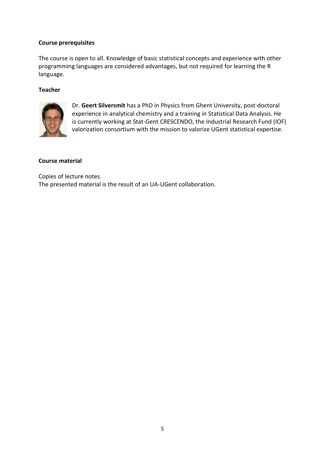#### **Course prerequisites**

The course is open to all. Knowledge of basic statistical concepts and experience with other programming languages are considered advantages, but not required for learning the R language.

#### **Teacher**



Dr. **Geert Silversmit** has a PhD in Physics from Ghent University, post-doctoral experience in analytical chemistry and a training in Statistical Data Analysis. He is currently working at Stat-Gent CRESCENDO, the Industrial Research Fund (IOF) valorization consortium with the mission to valorize UGent statistical expertise.

#### **Course material**

Copies of lecture notes. The presented material is the result of an UA-UGent collaboration.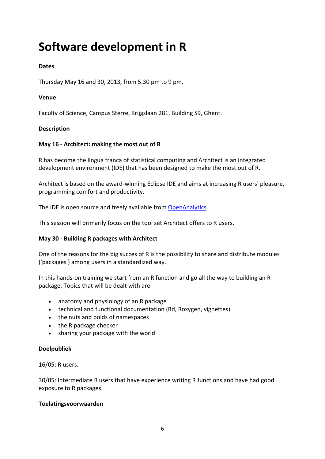## <span id="page-5-0"></span>**Software development in R**

#### **Dates**

Thursday May 16 and 30, 2013, from 5.30 pm to 9 pm.

#### **Venue**

Faculty of Science, Campus Sterre, Krijgslaan 281, Building S9, Ghent.

#### **Description**

#### **May 16 - Architect: making the most out of R**

R has become the lingua franca of statistical computing and Architect is an integrated development environment (IDE) that has been designed to make the most out of R.

Architect is based on the award-winning Eclipse IDE and aims at increasing R users' pleasure, programming comfort and productivity.

The IDE is open source and freely available from [OpenAnalytics.](http://www.openanalytics.eu/)

This session will primarily focus on the tool set Architect offers to R users.

#### **May 30 - Building R packages with Architect**

One of the reasons for the big succes of R is the possibility to share and distribute modules ('packages') among users in a standardized way.

In this hands-on training we start from an R function and go all the way to building an R package. Topics that will be dealt with are

- anatomy and physiology of an R package
- technical and functional documentation (Rd, Roxygen, vignettes)
- the nuts and bolds of namespaces
- the R package checker
- sharing your package with the world

#### **Doelpubliek**

16/05: R users.

30/05: Intermediate R users that have experience writing R functions and have had good exposure to R packages.

#### **Toelatingsvoorwaarden**